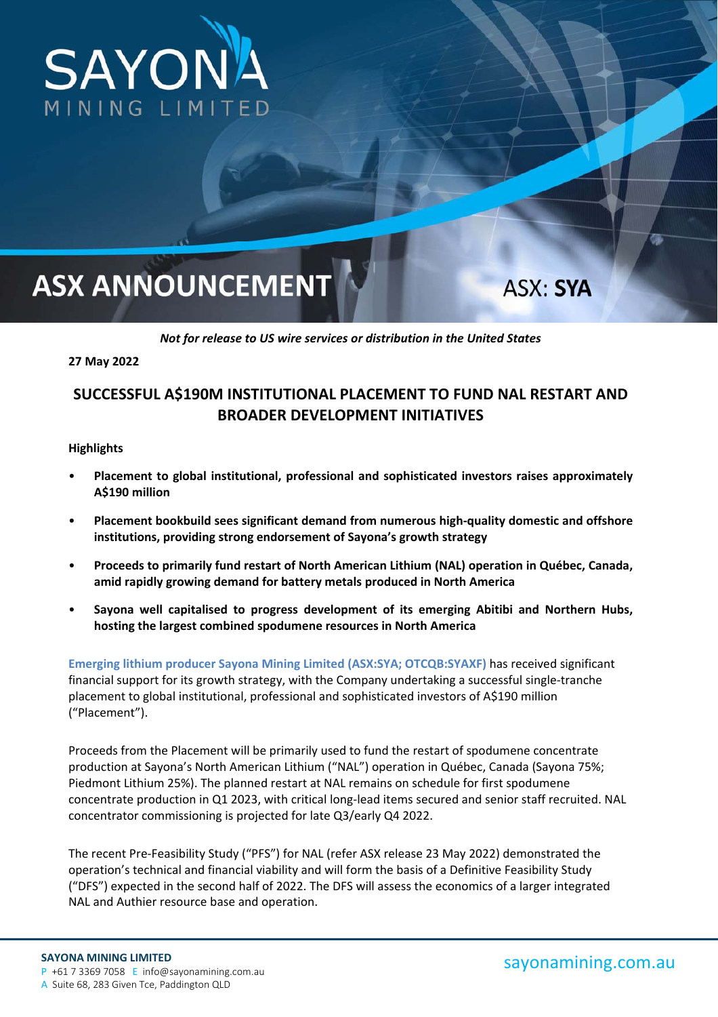

# **ASX ANNOUNCEMENT**

**ASX: SYA** 

*Not for release to US wire services or distribution in the United States* 

**27 May 2022** 

## **SUCCESSFUL A\$190M INSTITUTIONAL PLACEMENT TO FUND NAL RESTART AND BROADER DEVELOPMENT INITIATIVES**

#### **Highlights**

- **Placement to global institutional, professional and sophisticated investors raises approximately A\$190 million**
- **Placement bookbuild sees significant demand from numerous high‐quality domestic and offshore institutions, providing strong endorsement of Sayona's growth strategy**
- **Proceeds to primarily fund restart of North American Lithium (NAL) operation in Québec, Canada, amid rapidly growing demand for battery metals produced in North America**
- **Sayona well capitalised to progress development of its emerging Abitibi and Northern Hubs, hosting the largest combined spodumene resources in North America**

**Emerging lithium producer Sayona Mining Limited (ASX:SYA; OTCQB:SYAXF)** has received significant financial support for its growth strategy, with the Company undertaking a successful single-tranche placement to global institutional, professional and sophisticated investors of A\$190 million ("Placement").

Proceeds from the Placement will be primarily used to fund the restart of spodumene concentrate production at Sayona's North American Lithium ("NAL") operation in Québec, Canada (Sayona 75%; Piedmont Lithium 25%). The planned restart at NAL remains on schedule for first spodumene concentrate production in Q1 2023, with critical long-lead items secured and senior staff recruited. NAL concentrator commissioning is projected for late Q3/early Q4 2022.

The recent Pre‐Feasibility Study ("PFS") for NAL (refer ASX release 23 May 2022) demonstrated the operation's technical and financial viability and will form the basis of a Definitive Feasibility Study ("DFS") expected in the second half of 2022. The DFS will assess the economics of a larger integrated NAL and Authier resource base and operation.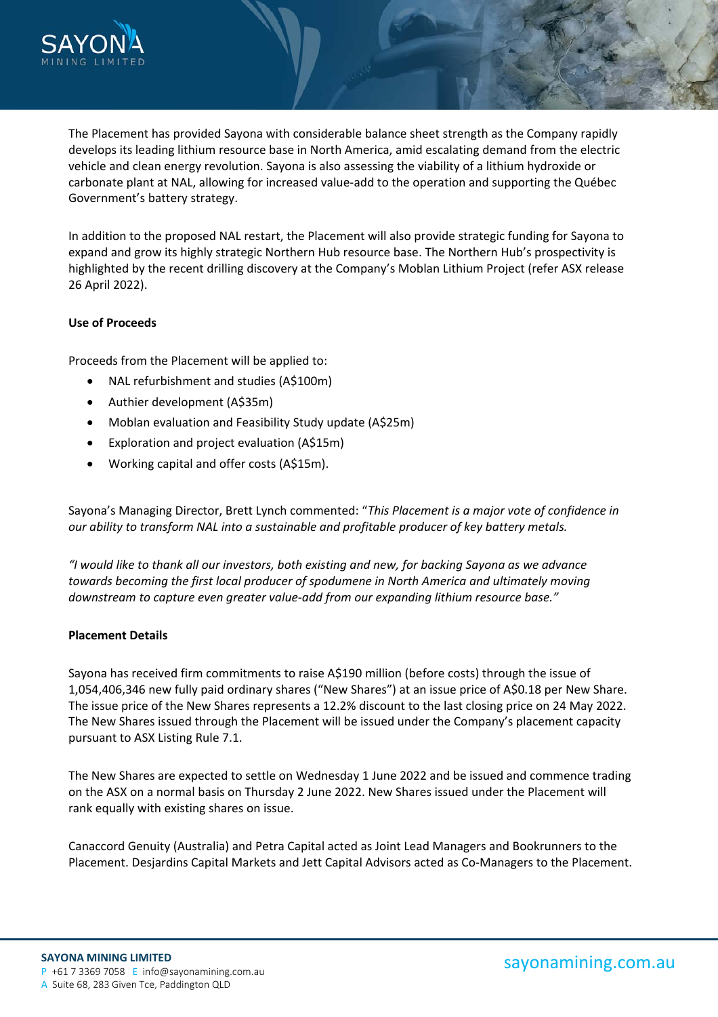

The Placement has provided Sayona with considerable balance sheet strength as the Company rapidly develops its leading lithium resource base in North America, amid escalating demand from the electric vehicle and clean energy revolution. Sayona is also assessing the viability of a lithium hydroxide or carbonate plant at NAL, allowing for increased value‐add to the operation and supporting the Québec Government's battery strategy.

In addition to the proposed NAL restart, the Placement will also provide strategic funding for Sayona to expand and grow its highly strategic Northern Hub resource base. The Northern Hub's prospectivity is highlighted by the recent drilling discovery at the Company's Moblan Lithium Project (refer ASX release 26 April 2022).

### **Use of Proceeds**

Proceeds from the Placement will be applied to:

- NAL refurbishment and studies (A\$100m)
- Authier development (A\$35m)
- Moblan evaluation and Feasibility Study update (A\$25m)
- Exploration and project evaluation (A\$15m)
- Working capital and offer costs (A\$15m).

Sayona's Managing Director, Brett Lynch commented: "*This Placement is a major vote of confidence in our ability to transform NAL into a sustainable and profitable producer of key battery metals.* 

*"I would like to thank all our investors, both existing and new, for backing Sayona as we advance towards becoming the first local producer of spodumene in North America and ultimately moving downstream to capture even greater value‐add from our expanding lithium resource base."* 

### **Placement Details**

Sayona has received firm commitments to raise A\$190 million (before costs) through the issue of 1,054,406,346 new fully paid ordinary shares ("New Shares") at an issue price of A\$0.18 per New Share. The issue price of the New Shares represents a 12.2% discount to the last closing price on 24 May 2022. The New Shares issued through the Placement will be issued under the Company's placement capacity pursuant to ASX Listing Rule 7.1.

The New Shares are expected to settle on Wednesday 1 June 2022 and be issued and commence trading on the ASX on a normal basis on Thursday 2 June 2022. New Shares issued under the Placement will rank equally with existing shares on issue.

Canaccord Genuity (Australia) and Petra Capital acted as Joint Lead Managers and Bookrunners to the Placement. Desjardins Capital Markets and Jett Capital Advisors acted as Co‐Managers to the Placement.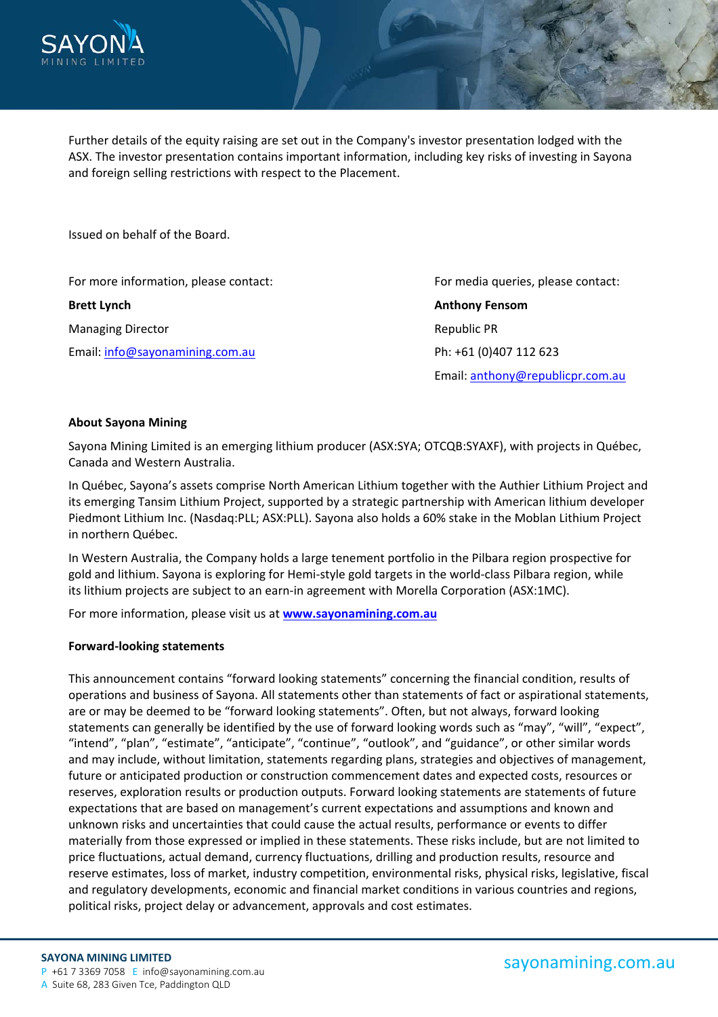

Further details of the equity raising are set out in the Company's investor presentation lodged with the ASX. The investor presentation contains important information, including key risks of investing in Sayona and foreign selling restrictions with respect to the Placement.

Issued on behalf of the Board.

For more information, please contact: *For media queries, please contact:* **For media queries, please contact:** 

Managing Director **Managing Director** *Managing Director Republic PR* Email: info@sayonamining.com.au Ph: +61 (0)407 112 623

**Brett Lynch Anthony Fensom**  Email: anthony@republicpr.com.au

#### **About Sayona Mining**

Sayona Mining Limited is an emerging lithium producer (ASX:SYA; OTCQB:SYAXF), with projects in Québec, Canada and Western Australia.

In Québec, Sayona's assets comprise North American Lithium together with the Authier Lithium Project and its emerging Tansim Lithium Project, supported by a strategic partnership with American lithium developer Piedmont Lithium Inc. (Nasdaq:PLL; ASX:PLL). Sayona also holds a 60% stake in the Moblan Lithium Project in northern Québec.

In Western Australia, the Company holds a large tenement portfolio in the Pilbara region prospective for gold and lithium. Sayona is exploring for Hemi-style gold targets in the world-class Pilbara region, while its lithium projects are subject to an earn‐in agreement with Morella Corporation (ASX:1MC).

For more information, please visit us at **www.sayonamining.com.au**

### **Forward‐looking statements**

This announcement contains "forward looking statements" concerning the financial condition, results of operations and business of Sayona. All statements other than statements of fact or aspirational statements, are or may be deemed to be "forward looking statements". Often, but not always, forward looking statements can generally be identified by the use of forward looking words such as "may", "will", "expect", "intend", "plan", "estimate", "anticipate", "continue", "outlook", and "guidance", or other similar words and may include, without limitation, statements regarding plans, strategies and objectives of management, future or anticipated production or construction commencement dates and expected costs, resources or reserves, exploration results or production outputs. Forward looking statements are statements of future expectations that are based on management's current expectations and assumptions and known and unknown risks and uncertainties that could cause the actual results, performance or events to differ materially from those expressed or implied in these statements. These risks include, but are not limited to price fluctuations, actual demand, currency fluctuations, drilling and production results, resource and reserve estimates, loss of market, industry competition, environmental risks, physical risks, legislative, fiscal and regulatory developments, economic and financial market conditions in various countries and regions, political risks, project delay or advancement, approvals and cost estimates.

#### **SAYONA MINING LIMITED**

P +61 7 3369 7058 E info@sayonamining.com.au A Suite 68, 283 Given Tce, Paddington QLD